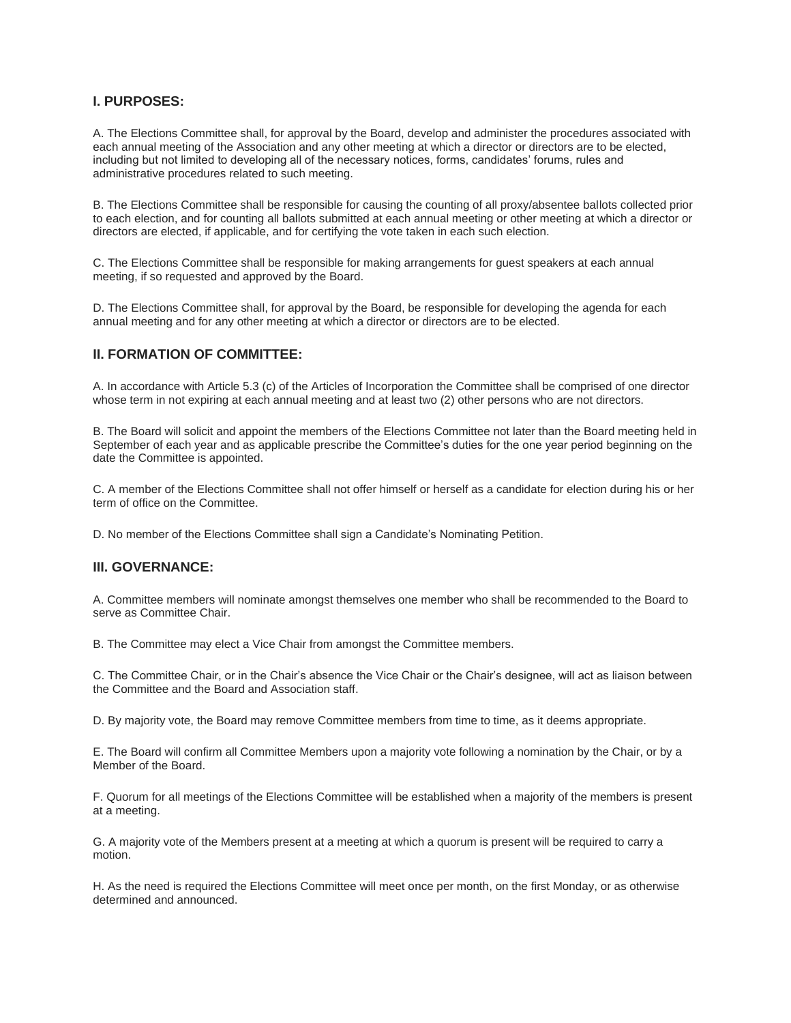### **I. PURPOSES:**

A. The Elections Committee shall, for approval by the Board, develop and administer the procedures associated with each annual meeting of the Association and any other meeting at which a director or directors are to be elected, including but not limited to developing all of the necessary notices, forms, candidates' forums, rules and administrative procedures related to such meeting.

B. The Elections Committee shall be responsible for causing the counting of all proxy/absentee ballots collected prior to each election, and for counting all ballots submitted at each annual meeting or other meeting at which a director or directors are elected, if applicable, and for certifying the vote taken in each such election.

C. The Elections Committee shall be responsible for making arrangements for guest speakers at each annual meeting, if so requested and approved by the Board.

D. The Elections Committee shall, for approval by the Board, be responsible for developing the agenda for each annual meeting and for any other meeting at which a director or directors are to be elected.

### **II. FORMATION OF COMMITTEE:**

A. In accordance with Article 5.3 (c) of the Articles of Incorporation the Committee shall be comprised of one director whose term in not expiring at each annual meeting and at least two (2) other persons who are not directors.

B. The Board will solicit and appoint the members of the Elections Committee not later than the Board meeting held in September of each year and as applicable prescribe the Committee's duties for the one year period beginning on the date the Committee is appointed.

C. A member of the Elections Committee shall not offer himself or herself as a candidate for election during his or her term of office on the Committee.

D. No member of the Elections Committee shall sign a Candidate's Nominating Petition.

#### **III. GOVERNANCE:**

A. Committee members will nominate amongst themselves one member who shall be recommended to the Board to serve as Committee Chair.

B. The Committee may elect a Vice Chair from amongst the Committee members.

C. The Committee Chair, or in the Chair's absence the Vice Chair or the Chair's designee, will act as liaison between the Committee and the Board and Association staff.

D. By majority vote, the Board may remove Committee members from time to time, as it deems appropriate.

E. The Board will confirm all Committee Members upon a majority vote following a nomination by the Chair, or by a Member of the Board.

F. Quorum for all meetings of the Elections Committee will be established when a majority of the members is present at a meeting.

G. A majority vote of the Members present at a meeting at which a quorum is present will be required to carry a motion.

H. As the need is required the Elections Committee will meet once per month, on the first Monday, or as otherwise determined and announced.